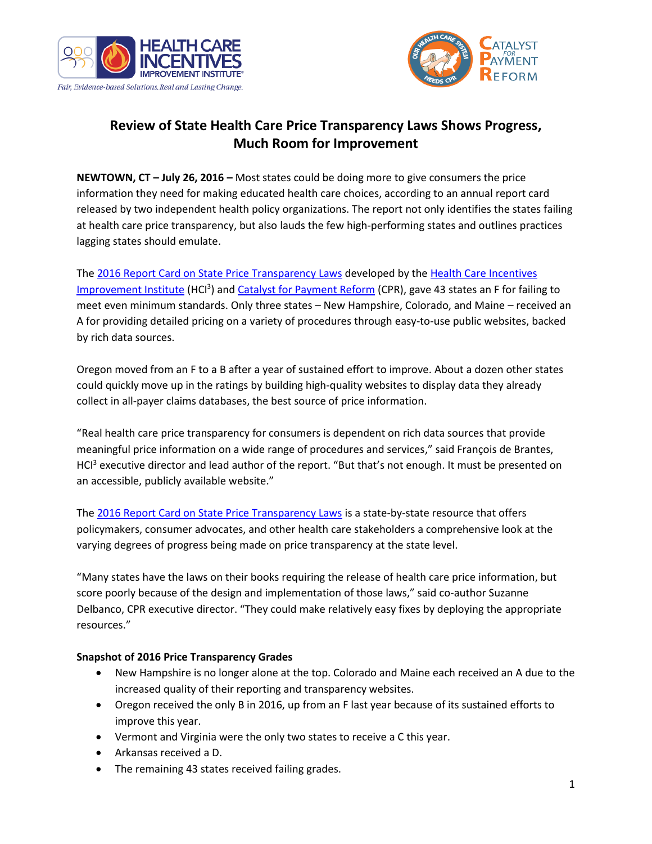



## **Review of State Health Care Price Transparency Laws Shows Progress, Much Room for Improvement**

**NEWTOWN, CT – July 26, 2016 –** Most states could be doing more to give consumers the price information they need for making educated health care choices, according to an annual report card released by two independent health policy organizations. The report not only identifies the states failing at health care price transparency, but also lauds the few high-performing states and outlines practices lagging states should emulate.

The [2016 Report Card on State Price Transparency Laws](http://bit.ly/2016-report-card) developed by the [Health Care Incentives](http://www.hci3.org/)  [Improvement Institute](http://www.hci3.org/) (HCI<sup>3</sup>) and [Catalyst for Payment Reform](http://www.catalyzepaymentreform.org/) (CPR), gave 43 states an F for failing to meet even minimum standards. Only three states – New Hampshire, Colorado, and Maine – received an A for providing detailed pricing on a variety of procedures through easy-to-use public websites, backed by rich data sources.

Oregon moved from an F to a B after a year of sustained effort to improve. About a dozen other states could quickly move up in the ratings by building high-quality websites to display data they already collect in all-payer claims databases, the best source of price information.

"Real health care price transparency for consumers is dependent on rich data sources that provide meaningful price information on a wide range of procedures and services," said François de Brantes, HCI<sup>3</sup> executive director and lead author of the report. "But that's not enough. It must be presented on an accessible, publicly available website."

The [2016 Report Card on State Price Transparency Laws](http://bit.ly/2016-report-card) is a state-by-state resource that offers policymakers, consumer advocates, and other health care stakeholders a comprehensive look at the varying degrees of progress being made on price transparency at the state level.

"Many states have the laws on their books requiring the release of health care price information, but score poorly because of the design and implementation of those laws," said co-author Suzanne Delbanco, CPR executive director. "They could make relatively easy fixes by deploying the appropriate resources."

## **Snapshot of 2016 Price Transparency Grades**

- New Hampshire is no longer alone at the top. Colorado and Maine each received an A due to the increased quality of their reporting and transparency websites.
- Oregon received the only B in 2016, up from an F last year because of its sustained efforts to improve this year.
- Vermont and Virginia were the only two states to receive a C this year.
- Arkansas received a D.
- The remaining 43 states received failing grades.